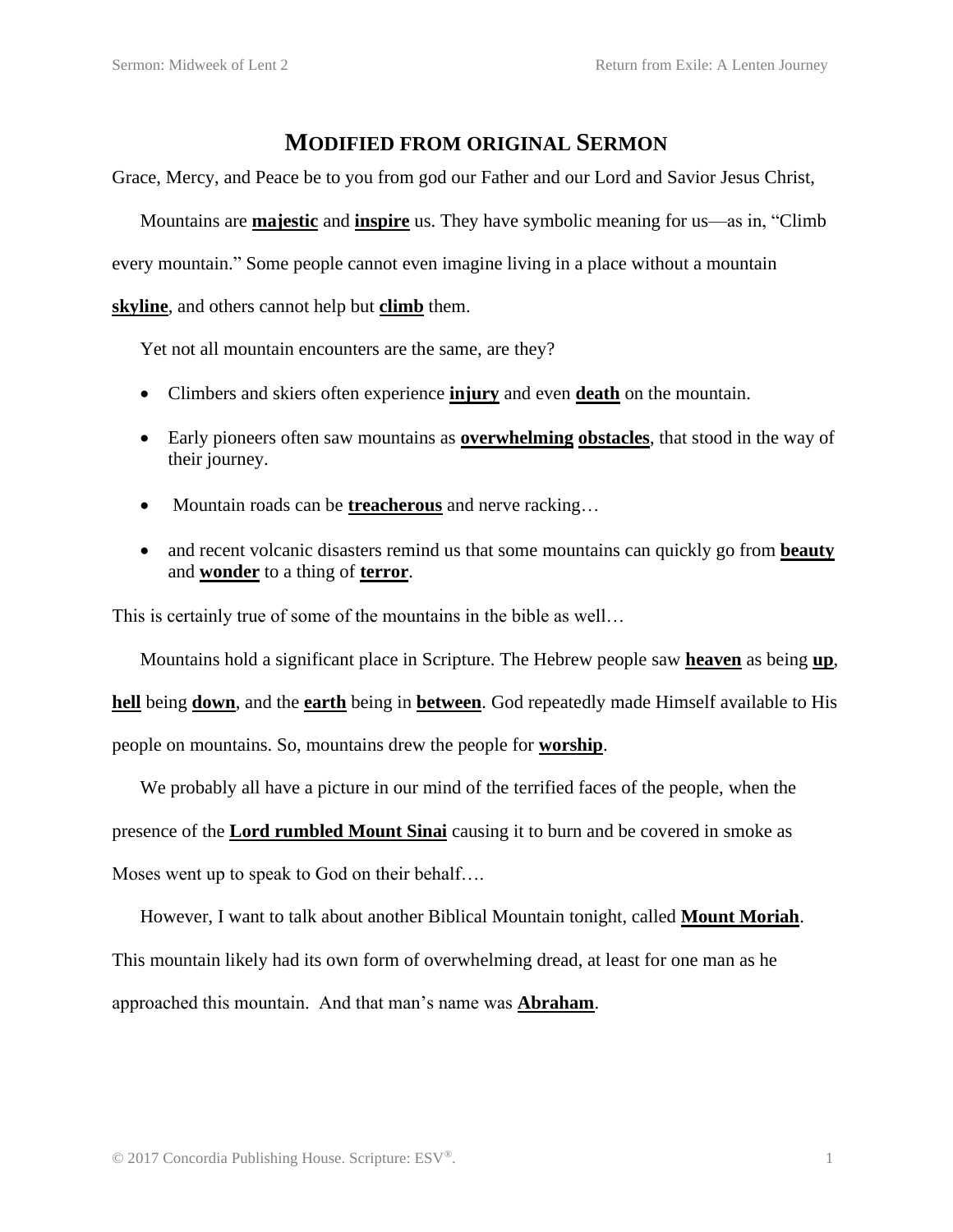## **MODIFIED FROM ORIGINAL SERMON**

Grace, Mercy, and Peace be to you from god our Father and our Lord and Savior Jesus Christ,

Mountains are **majestic** and **inspire** us. They have symbolic meaning for us—as in, "Climb every mountain." Some people cannot even imagine living in a place without a mountain

**skyline**, and others cannot help but **climb** them.

Yet not all mountain encounters are the same, are they?

- Climbers and skiers often experience **injury** and even **death** on the mountain.
- Early pioneers often saw mountains as **overwhelming obstacles**, that stood in the way of their journey.
- Mountain roads can be **treacherous** and nerve racking…
- and recent volcanic disasters remind us that some mountains can quickly go from **beauty** and **wonder** to a thing of **terror**.

This is certainly true of some of the mountains in the bible as well…

Mountains hold a significant place in Scripture. The Hebrew people saw **heaven** as being **up**,

**hell** being **down**, and the **earth** being in **between**. God repeatedly made Himself available to His

people on mountains. So, mountains drew the people for **worship**.

We probably all have a picture in our mind of the terrified faces of the people, when the

presence of the **Lord rumbled Mount Sinai** causing it to burn and be covered in smoke as

Moses went up to speak to God on their behalf….

However, I want to talk about another Biblical Mountain tonight, called **Mount Moriah**.

This mountain likely had its own form of overwhelming dread, at least for one man as he

approached this mountain. And that man's name was **Abraham**.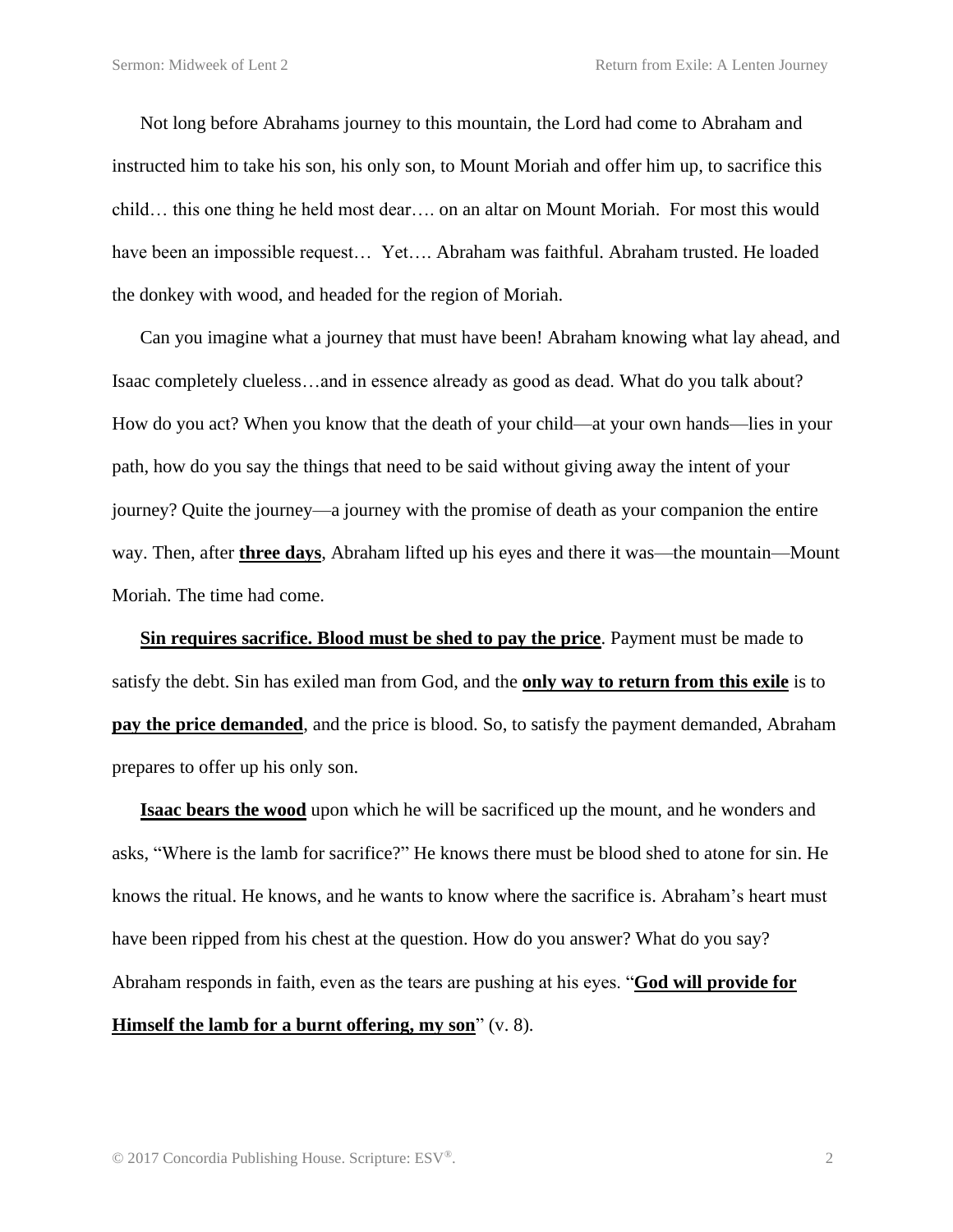Not long before Abrahams journey to this mountain, the Lord had come to Abraham and instructed him to take his son, his only son, to Mount Moriah and offer him up, to sacrifice this child… this one thing he held most dear…. on an altar on Mount Moriah. For most this would have been an impossible request… Yet…. Abraham was faithful. Abraham trusted. He loaded the donkey with wood, and headed for the region of Moriah.

Can you imagine what a journey that must have been! Abraham knowing what lay ahead, and Isaac completely clueless…and in essence already as good as dead. What do you talk about? How do you act? When you know that the death of your child—at your own hands—lies in your path, how do you say the things that need to be said without giving away the intent of your journey? Quite the journey—a journey with the promise of death as your companion the entire way. Then, after **three days**, Abraham lifted up his eyes and there it was—the mountain—Mount Moriah. The time had come.

**Sin requires sacrifice. Blood must be shed to pay the price**. Payment must be made to satisfy the debt. Sin has exiled man from God, and the **only way to return from this exile** is to **pay the price demanded**, and the price is blood. So, to satisfy the payment demanded, Abraham prepares to offer up his only son.

**Isaac bears the wood** upon which he will be sacrificed up the mount, and he wonders and asks, "Where is the lamb for sacrifice?" He knows there must be blood shed to atone for sin. He knows the ritual. He knows, and he wants to know where the sacrifice is. Abraham's heart must have been ripped from his chest at the question. How do you answer? What do you say? Abraham responds in faith, even as the tears are pushing at his eyes. "**God will provide for Himself the lamb for a burnt offering, my son**" (v. 8).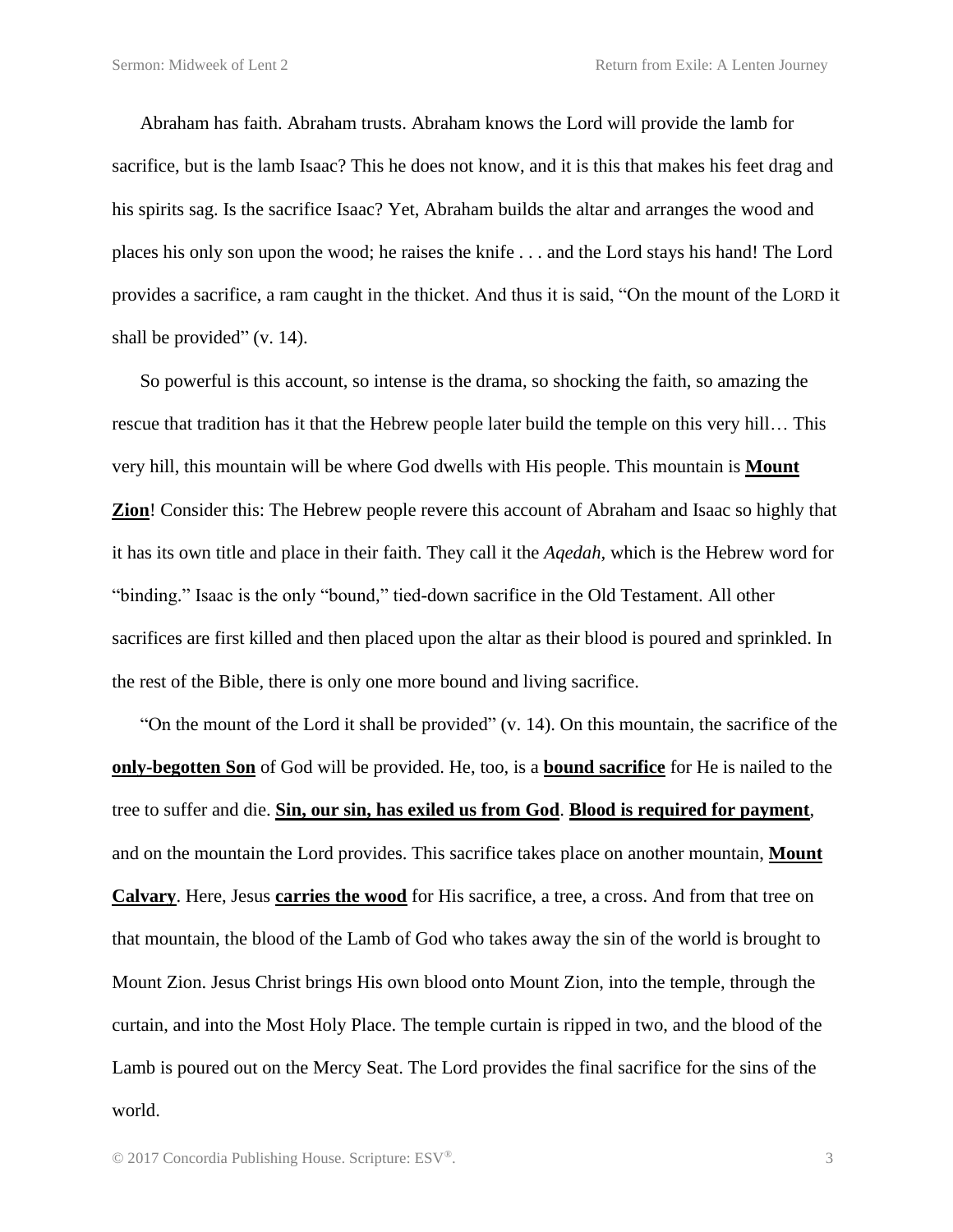Abraham has faith. Abraham trusts. Abraham knows the Lord will provide the lamb for sacrifice, but is the lamb Isaac? This he does not know, and it is this that makes his feet drag and his spirits sag. Is the sacrifice Isaac? Yet, Abraham builds the altar and arranges the wood and places his only son upon the wood; he raises the knife . . . and the Lord stays his hand! The Lord provides a sacrifice, a ram caught in the thicket. And thus it is said, "On the mount of the LORD it shall be provided" (v. 14).

So powerful is this account, so intense is the drama, so shocking the faith, so amazing the rescue that tradition has it that the Hebrew people later build the temple on this very hill… This very hill, this mountain will be where God dwells with His people. This mountain is **Mount Zion**! Consider this: The Hebrew people revere this account of Abraham and Isaac so highly that it has its own title and place in their faith. They call it the *Aqedah,* which is the Hebrew word for "binding." Isaac is the only "bound," tied-down sacrifice in the Old Testament. All other sacrifices are first killed and then placed upon the altar as their blood is poured and sprinkled. In the rest of the Bible, there is only one more bound and living sacrifice.

"On the mount of the Lord it shall be provided" (v. 14). On this mountain, the sacrifice of the **only-begotten Son** of God will be provided. He, too, is a **bound sacrifice** for He is nailed to the tree to suffer and die. **Sin, our sin, has exiled us from God**. **Blood is required for payment**, and on the mountain the Lord provides. This sacrifice takes place on another mountain, **Mount Calvary**. Here, Jesus **carries the wood** for His sacrifice, a tree, a cross. And from that tree on that mountain, the blood of the Lamb of God who takes away the sin of the world is brought to Mount Zion. Jesus Christ brings His own blood onto Mount Zion, into the temple, through the curtain, and into the Most Holy Place. The temple curtain is ripped in two, and the blood of the Lamb is poured out on the Mercy Seat. The Lord provides the final sacrifice for the sins of the world.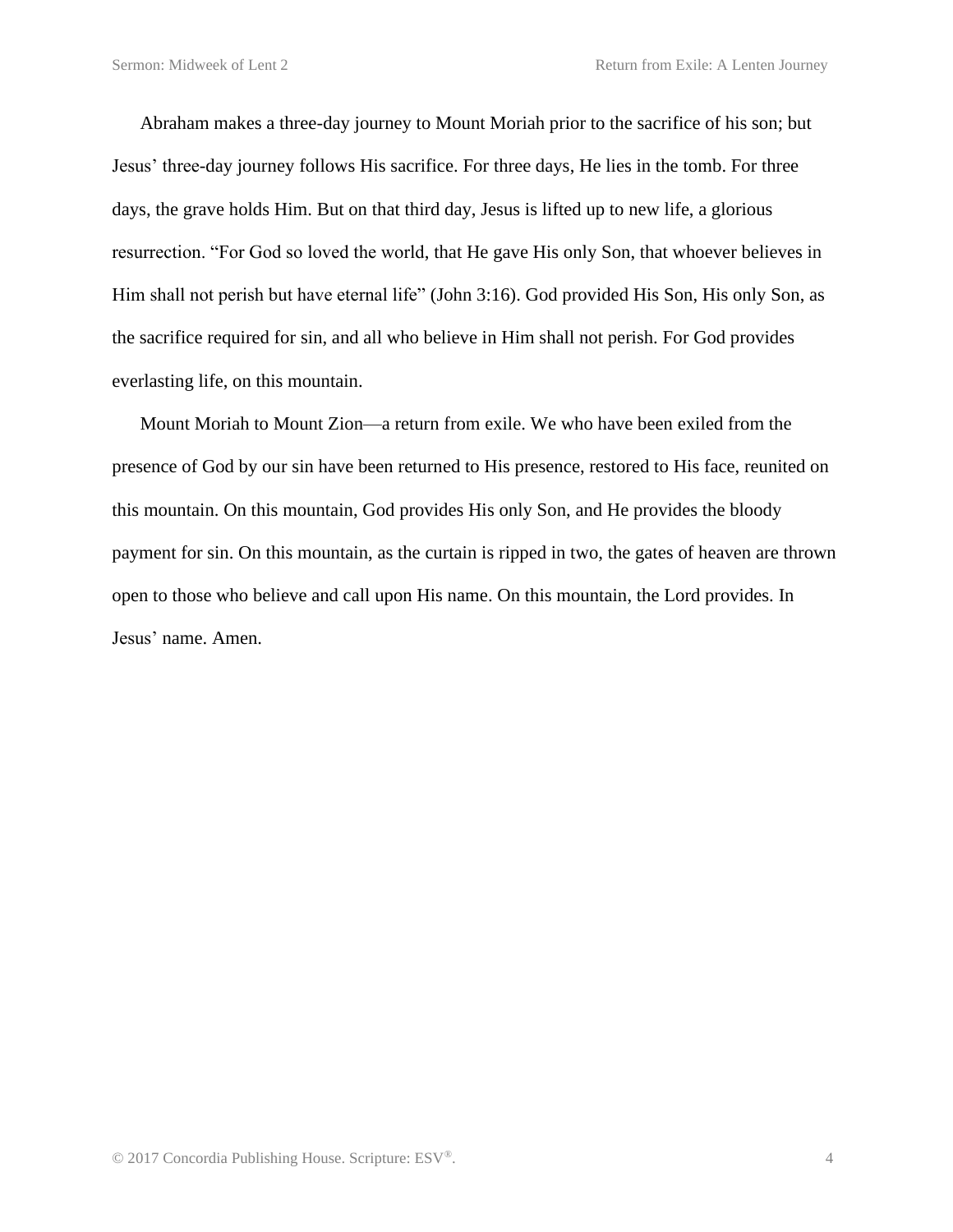Abraham makes a three-day journey to Mount Moriah prior to the sacrifice of his son; but Jesus' three-day journey follows His sacrifice. For three days, He lies in the tomb. For three days, the grave holds Him. But on that third day, Jesus is lifted up to new life, a glorious resurrection. "For God so loved the world, that He gave His only Son, that whoever believes in Him shall not perish but have eternal life" (John 3:16). God provided His Son, His only Son, as the sacrifice required for sin, and all who believe in Him shall not perish. For God provides everlasting life, on this mountain.

Mount Moriah to Mount Zion—a return from exile. We who have been exiled from the presence of God by our sin have been returned to His presence, restored to His face, reunited on this mountain. On this mountain, God provides His only Son, and He provides the bloody payment for sin. On this mountain, as the curtain is ripped in two, the gates of heaven are thrown open to those who believe and call upon His name. On this mountain, the Lord provides. In Jesus' name. Amen.